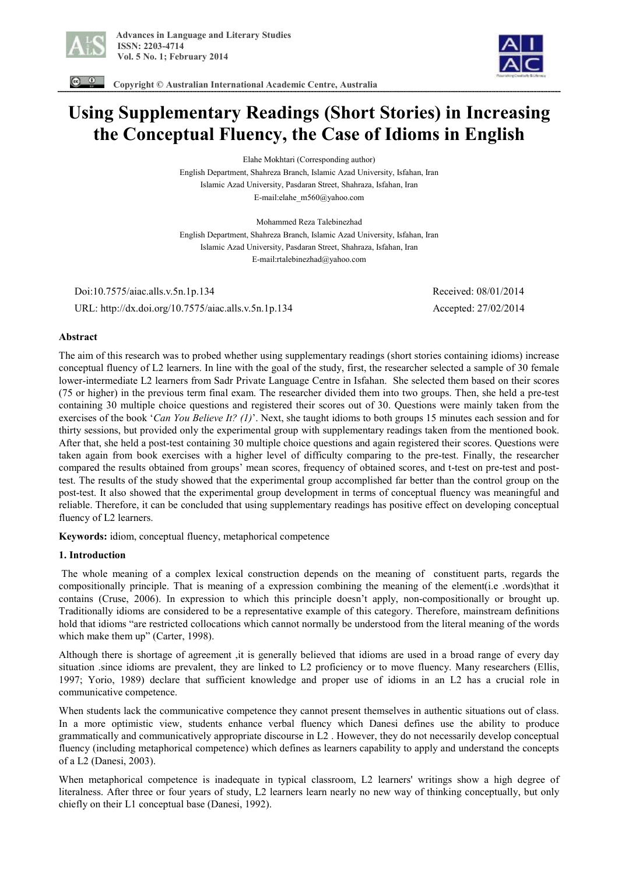



 **Copyright © Australian International Academic Centre, Australia** 

# **Using Supplementary Readings (Short Stories) in Increasing the Conceptual Fluency, the Case of Idioms in English**

Elahe Mokhtari (Corresponding author) English Department, Shahreza Branch, Islamic Azad University, Isfahan, Iran Islamic Azad University, Pasdaran Street, Shahraza, Isfahan, Iran E-mail:elahe\_m560@yahoo.com

Mohammed Reza Talebinezhad English Department, Shahreza Branch, Islamic Azad University, Isfahan, Iran Islamic Azad University, Pasdaran Street, Shahraza, Isfahan, Iran E-mail:rtalebinezhad@yahoo.com

 Doi:10.7575/aiac.alls.v.5n.1p.134 Received: 08/01/2014 URL: http://dx.doi.org/10.7575/aiac.alls.v.5n.1p.134 Accepted: 27/02/2014

## **Abstract**

The aim of this research was to probed whether using supplementary readings (short stories containing idioms) increase conceptual fluency of L2 learners. In line with the goal of the study, first, the researcher selected a sample of 30 female lower-intermediate L2 learners from Sadr Private Language Centre in Isfahan. She selected them based on their scores (75 or higher) in the previous term final exam. The researcher divided them into two groups. Then, she held a pre-test containing 30 multiple choice questions and registered their scores out of 30. Questions were mainly taken from the exercises of the book '*Can You Believe It? (1)*'. Next, she taught idioms to both groups 15 minutes each session and for thirty sessions, but provided only the experimental group with supplementary readings taken from the mentioned book. After that, she held a post-test containing 30 multiple choice questions and again registered their scores. Questions were taken again from book exercises with a higher level of difficulty comparing to the pre-test. Finally, the researcher compared the results obtained from groups' mean scores, frequency of obtained scores, and t-test on pre-test and posttest. The results of the study showed that the experimental group accomplished far better than the control group on the post-test. It also showed that the experimental group development in terms of conceptual fluency was meaningful and reliable. Therefore, it can be concluded that using supplementary readings has positive effect on developing conceptual fluency of L2 learners.

**Keywords:** idiom, conceptual fluency, metaphorical competence

### **1. Introduction**

The whole meaning of a complex lexical construction depends on the meaning of constituent parts, regards the compositionally principle. That is meaning of a expression combining the meaning of the element(i.e .words)that it contains (Cruse, 2006). In expression to which this principle doesn't apply, non-compositionally or brought up. Traditionally idioms are considered to be a representative example of this category. Therefore, mainstream definitions hold that idioms "are restricted collocations which cannot normally be understood from the literal meaning of the words which make them up" (Carter, 1998).

Although there is shortage of agreement ,it is generally believed that idioms are used in a broad range of every day situation .since idioms are prevalent, they are linked to L2 proficiency or to move fluency. Many researchers (Ellis, 1997; Yorio, 1989) declare that sufficient knowledge and proper use of idioms in an L2 has a crucial role in communicative competence.

When students lack the communicative competence they cannot present themselves in authentic situations out of class. In a more optimistic view, students enhance verbal fluency which Danesi defines use the ability to produce grammatically and communicatively appropriate discourse in L2 . However, they do not necessarily develop conceptual fluency (including metaphorical competence) which defines as learners capability to apply and understand the concepts of a L2 (Danesi, 2003).

When metaphorical competence is inadequate in typical classroom, L2 learners' writings show a high degree of literalness. After three or four years of study, L2 learners learn nearly no new way of thinking conceptually, but only chiefly on their L1 conceptual base (Danesi, 1992).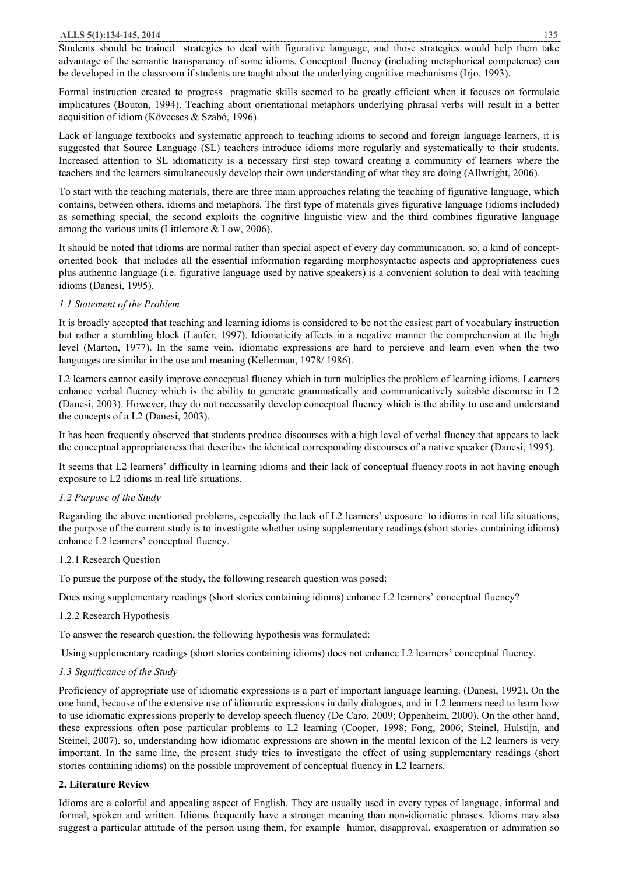Students should be trained strategies to deal with figurative language, and those strategies would help them take advantage of the semantic transparency of some idioms. Conceptual fluency (including metaphorical competence) can be developed in the classroom if students are taught about the underlying cognitive mechanisms (Irjo, 1993).

Formal instruction created to progress pragmatic skills seemed to be greatly efficient when it focuses on formulaic implicatures (Bouton, 1994). Teaching about orientational metaphors underlying phrasal verbs will result in a better acquisition of idiom (Kövecses & Szabó, 1996).

Lack of language textbooks and systematic approach to teaching idioms to second and foreign language learners, it is suggested that Source Language (SL) teachers introduce idioms more regularly and systematically to their students. Increased attention to SL idiomaticity is a necessary first step toward creating a community of learners where the teachers and the learners simultaneously develop their own understanding of what they are doing (Allwright, 2006).

To start with the teaching materials, there are three main approaches relating the teaching of figurative language, which contains, between others, idioms and metaphors. The first type of materials gives figurative language (idioms included) as something special, the second exploits the cognitive linguistic view and the third combines figurative language among the various units (Littlemore & Low, 2006).

It should be noted that idioms are normal rather than special aspect of every day communication. so, a kind of conceptoriented book that includes all the essential information regarding morphosyntactic aspects and appropriateness cues plus authentic language (i.e. figurative language used by native speakers) is a convenient solution to deal with teaching idioms (Danesi, 1995).

## *1.1 Statement of the Problem*

It is broadly accepted that teaching and learning idioms is considered to be not the easiest part of vocabulary instruction but rather a stumbling block (Laufer, 1997). Idiomaticity affects in a negative manner the comprehension at the high level (Marton, 1977). In the same vein, idiomatic expressions are hard to percieve and learn even when the two languages are similar in the use and meaning (Kellerman, 1978/ 1986).

L2 learners cannot easily improve conceptual fluency which in turn multiplies the problem of learning idioms. Learners enhance verbal fluency which is the ability to generate grammatically and communicatively suitable discourse in L2 (Danesi, 2003). However, they do not necessarily develop conceptual fluency which is the ability to use and understand the concepts of a L2 (Danesi, 2003).

It has been frequently observed that students produce discourses with a high level of verbal fluency that appears to lack the conceptual appropriateness that describes the identical corresponding discourses of a native speaker (Danesi, 1995).

It seems that L2 learners' difficulty in learning idioms and their lack of conceptual fluency roots in not having enough exposure to L2 idioms in real life situations.

## *1.2 Purpose of the Study*

Regarding the above mentioned problems, especially the lack of L2 learners' exposure to idioms in real life situations, the purpose of the current study is to investigate whether using supplementary readings (short stories containing idioms) enhance L2 learners' conceptual fluency.

### 1.2.1 Research Question

To pursue the purpose of the study, the following research question was posed:

Does using supplementary readings (short stories containing idioms) enhance L2 learners' conceptual fluency?

### 1.2.2 Research Hypothesis

To answer the research question, the following hypothesis was formulated:

Using supplementary readings (short stories containing idioms) does not enhance L2 learners' conceptual fluency.

## *1.3 Significance of the Study*

Proficiency of appropriate use of idiomatic expressions is a part of important language learning. (Danesi, 1992). On the one hand, because of the extensive use of idiomatic expressions in daily dialogues, and in L2 learners need to learn how to use idiomatic expressions properly to develop speech fluency (De Caro, 2009; Oppenheim, 2000). On the other hand, these expressions often pose particular problems to L2 learning (Cooper, 1998; Fong, 2006; Steinel, Hulstijn, and Steinel, 2007). so, understanding how idiomatic expressions are shown in the mental lexicon of the L2 learners is very important. In the same line, the present study tries to investigate the effect of using supplementary readings (short stories containing idioms) on the possible improvement of conceptual fluency in L2 learners.

## **2. Literature Review**

Idioms are a colorful and appealing aspect of English. They are usually used in every types of language, informal and formal, spoken and written. Idioms frequently have a stronger meaning than non-idiomatic phrases. Idioms may also suggest a particular attitude of the person using them, for example humor, disapproval, exasperation or admiration so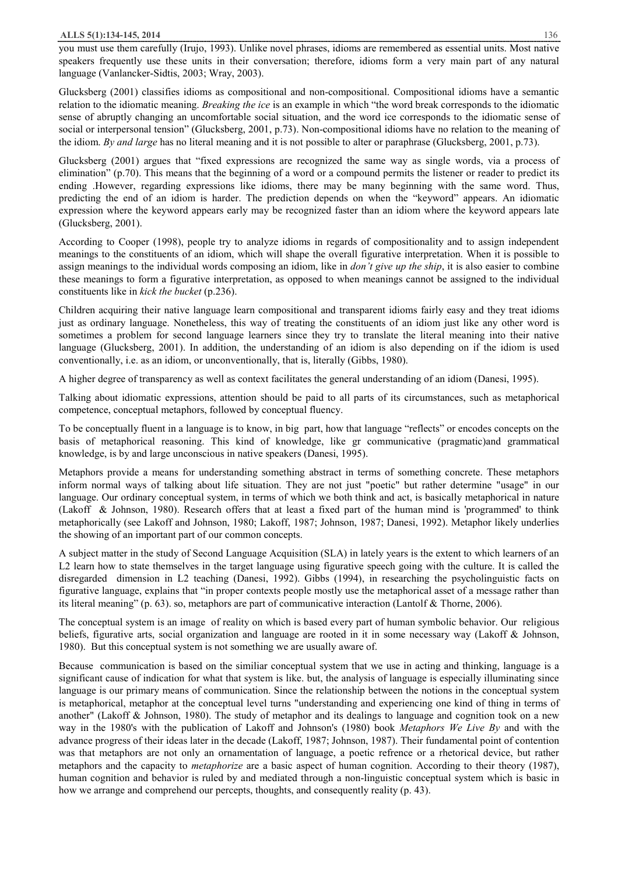you must use them carefully (Irujo, 1993). Unlike novel phrases, idioms are remembered as essential units. Most native speakers frequently use these units in their conversation; therefore, idioms form a very main part of any natural language (Vanlancker-Sidtis, 2003; Wray, 2003).

Glucksberg (2001) classifies idioms as compositional and non-compositional. Compositional idioms have a semantic relation to the idiomatic meaning. *Breaking the ice* is an example in which "the word break corresponds to the idiomatic sense of abruptly changing an uncomfortable social situation, and the word ice corresponds to the idiomatic sense of social or interpersonal tension" (Glucksberg, 2001, p.73). Non-compositional idioms have no relation to the meaning of the idiom. *By and large* has no literal meaning and it is not possible to alter or paraphrase (Glucksberg, 2001, p.73).

Glucksberg (2001) argues that "fixed expressions are recognized the same way as single words, via a process of elimination" (p.70). This means that the beginning of a word or a compound permits the listener or reader to predict its ending .However, regarding expressions like idioms, there may be many beginning with the same word. Thus, predicting the end of an idiom is harder. The prediction depends on when the "keyword" appears. An idiomatic expression where the keyword appears early may be recognized faster than an idiom where the keyword appears late (Glucksberg, 2001).

According to Cooper (1998), people try to analyze idioms in regards of compositionality and to assign independent meanings to the constituents of an idiom, which will shape the overall figurative interpretation. When it is possible to assign meanings to the individual words composing an idiom, like in *don't give up the ship*, it is also easier to combine these meanings to form a figurative interpretation, as opposed to when meanings cannot be assigned to the individual constituents like in *kick the bucket* (p.236).

Children acquiring their native language learn compositional and transparent idioms fairly easy and they treat idioms just as ordinary language. Nonetheless, this way of treating the constituents of an idiom just like any other word is sometimes a problem for second language learners since they try to translate the literal meaning into their native language (Glucksberg, 2001). In addition, the understanding of an idiom is also depending on if the idiom is used conventionally, i.e. as an idiom, or unconventionally, that is, literally (Gibbs, 1980).

A higher degree of transparency as well as context facilitates the general understanding of an idiom (Danesi, 1995).

Talking about idiomatic expressions, attention should be paid to all parts of its circumstances, such as metaphorical competence, conceptual metaphors, followed by conceptual fluency.

To be conceptually fluent in a language is to know, in big part, how that language "reflects" or encodes concepts on the basis of metaphorical reasoning. This kind of knowledge, like gr communicative (pragmatic)and grammatical knowledge, is by and large unconscious in native speakers (Danesi, 1995).

Metaphors provide a means for understanding something abstract in terms of something concrete. These metaphors inform normal ways of talking about life situation. They are not just "poetic" but rather determine "usage" in our language. Our ordinary conceptual system, in terms of which we both think and act, is basically metaphorical in nature (Lakoff & Johnson, 1980). Research offers that at least a fixed part of the human mind is 'programmed' to think metaphorically (see Lakoff and Johnson, 1980; Lakoff, 1987; Johnson, 1987; Danesi, 1992). Metaphor likely underlies the showing of an important part of our common concepts.

A subject matter in the study of Second Language Acquisition (SLA) in lately years is the extent to which learners of an L2 learn how to state themselves in the target language using figurative speech going with the culture. It is called the disregarded dimension in L2 teaching (Danesi, 1992). Gibbs (1994), in researching the psycholinguistic facts on figurative language, explains that "in proper contexts people mostly use the metaphorical asset of a message rather than its literal meaning" (p. 63). so, metaphors are part of communicative interaction (Lantolf & Thorne, 2006).

The conceptual system is an image of reality on which is based every part of human symbolic behavior. Our religious beliefs, figurative arts, social organization and language are rooted in it in some necessary way (Lakoff & Johnson, 1980). But this conceptual system is not something we are usually aware of.

Because communication is based on the similiar conceptual system that we use in acting and thinking, language is a significant cause of indication for what that system is like. but, the analysis of language is especially illuminating since language is our primary means of communication. Since the relationship between the notions in the conceptual system is metaphorical, metaphor at the conceptual level turns "understanding and experiencing one kind of thing in terms of another" (Lakoff & Johnson, 1980). The study of metaphor and its dealings to language and cognition took on a new way in the 1980's with the publication of Lakoff and Johnson's (1980) book *Metaphors We Live By* and with the advance progress of their ideas later in the decade (Lakoff, 1987; Johnson, 1987). Their fundamental point of contention was that metaphors are not only an ornamentation of language, a poetic refrence or a rhetorical device, but rather metaphors and the capacity to *metaphorize* are a basic aspect of human cognition. According to their theory (1987), human cognition and behavior is ruled by and mediated through a non-linguistic conceptual system which is basic in how we arrange and comprehend our percepts, thoughts, and consequently reality (p. 43).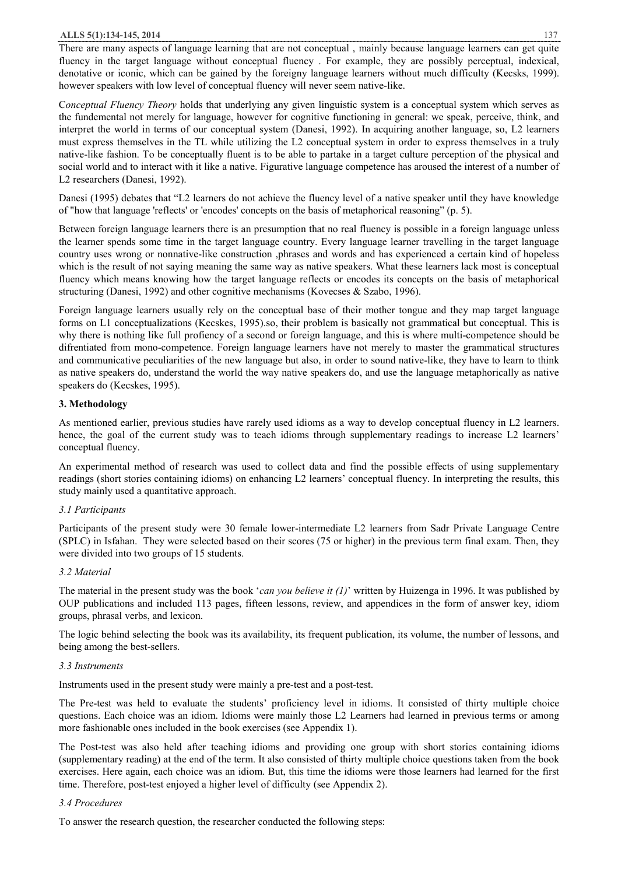There are many aspects of language learning that are not conceptual , mainly because language learners can get quite fluency in the target language without conceptual fluency . For example, they are possibly perceptual, indexical, denotative or iconic, which can be gained by the foreigny language learners without much difficulty (Kecsks, 1999). however speakers with low level of conceptual fluency will never seem native-like.

C*onceptual Fluency Theory* holds that underlying any given linguistic system is a conceptual system which serves as the fundemental not merely for language, however for cognitive functioning in general: we speak, perceive, think, and interpret the world in terms of our conceptual system (Danesi, 1992). In acquiring another language, so, L2 learners must express themselves in the TL while utilizing the L2 conceptual system in order to express themselves in a truly native-like fashion. To be conceptually fluent is to be able to partake in a target culture perception of the physical and social world and to interact with it like a native. Figurative language competence has aroused the interest of a number of L2 researchers (Danesi, 1992).

Danesi (1995) debates that "L2 learners do not achieve the fluency level of a native speaker until they have knowledge of "how that language 'reflects' or 'encodes' concepts on the basis of metaphorical reasoning" (p. 5).

Between foreign language learners there is an presumption that no real fluency is possible in a foreign language unless the learner spends some time in the target language country. Every language learner travelling in the target language country uses wrong or nonnative-like construction ,phrases and words and has experienced a certain kind of hopeless which is the result of not saying meaning the same way as native speakers. What these learners lack most is conceptual fluency which means knowing how the target language reflects or encodes its concepts on the basis of metaphorical structuring (Danesi, 1992) and other cognitive mechanisms (Kovecses & Szabo, 1996).

Foreign language learners usually rely on the conceptual base of their mother tongue and they map target language forms on L1 conceptualizations (Kecskes, 1995).so, their problem is basically not grammatical but conceptual. This is why there is nothing like full profiency of a second or foreign language, and this is where multi-competence should be difrentiated from mono-competence. Foreign language learners have not merely to master the grammatical structures and communicative peculiarities of the new language but also, in order to sound native-like, they have to learn to think as native speakers do, understand the world the way native speakers do, and use the language metaphorically as native speakers do (Kecskes, 1995).

## **3. Methodology**

As mentioned earlier, previous studies have rarely used idioms as a way to develop conceptual fluency in L2 learners. hence, the goal of the current study was to teach idioms through supplementary readings to increase L2 learners' conceptual fluency.

An experimental method of research was used to collect data and find the possible effects of using supplementary readings (short stories containing idioms) on enhancing L2 learners' conceptual fluency. In interpreting the results, this study mainly used a quantitative approach.

## *3.1 Participants*

Participants of the present study were 30 female lower-intermediate L2 learners from Sadr Private Language Centre (SPLC) in Isfahan. They were selected based on their scores (75 or higher) in the previous term final exam. Then, they were divided into two groups of 15 students.

## *3.2 Material*

The material in the present study was the book '*can you believe it (1)*' written by Huizenga in 1996. It was published by OUP publications and included 113 pages, fifteen lessons, review, and appendices in the form of answer key, idiom groups, phrasal verbs, and lexicon.

The logic behind selecting the book was its availability, its frequent publication, its volume, the number of lessons, and being among the best-sellers.

### *3.3 Instruments*

Instruments used in the present study were mainly a pre-test and a post-test.

The Pre-test was held to evaluate the students' proficiency level in idioms. It consisted of thirty multiple choice questions. Each choice was an idiom. Idioms were mainly those L2 Learners had learned in previous terms or among more fashionable ones included in the book exercises (see Appendix 1).

The Post-test was also held after teaching idioms and providing one group with short stories containing idioms (supplementary reading) at the end of the term. It also consisted of thirty multiple choice questions taken from the book exercises. Here again, each choice was an idiom. But, this time the idioms were those learners had learned for the first time. Therefore, post-test enjoyed a higher level of difficulty (see Appendix 2).

### *3.4 Procedures*

To answer the research question, the researcher conducted the following steps: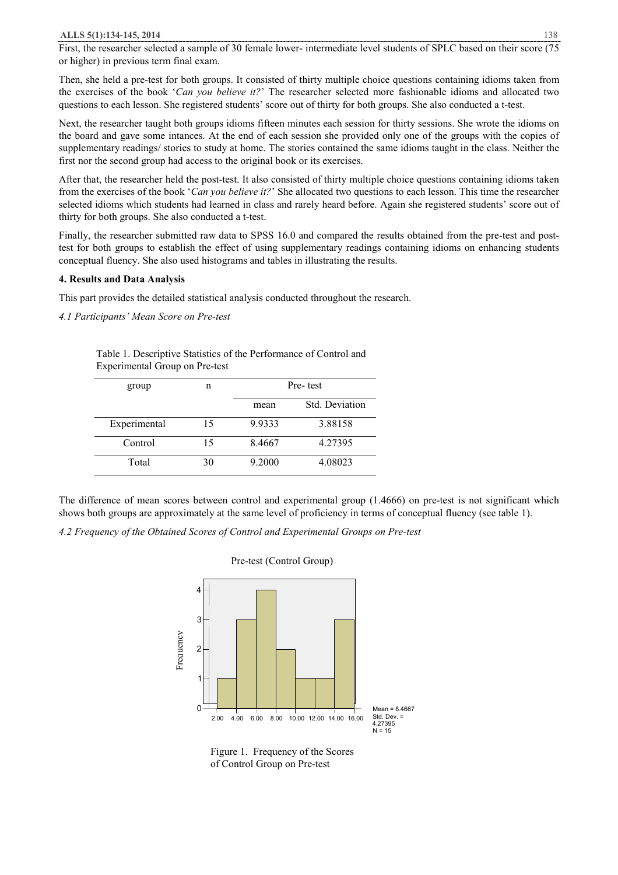First, the researcher selected a sample of 30 female lower- intermediate level students of SPLC based on their score (75 or higher) in previous term final exam.

Then, she held a pre-test for both groups. It consisted of thirty multiple choice questions containing idioms taken from the exercises of the book '*Can you believe it?*' The researcher selected more fashionable idioms and allocated two questions to each lesson. She registered students' score out of thirty for both groups. She also conducted a t-test.

Next, the researcher taught both groups idioms fifteen minutes each session for thirty sessions. She wrote the idioms on the board and gave some intances. At the end of each session she provided only one of the groups with the copies of supplementary readings/ stories to study at home. The stories contained the same idioms taught in the class. Neither the first nor the second group had access to the original book or its exercises.

After that, the researcher held the post-test. It also consisted of thirty multiple choice questions containing idioms taken from the exercises of the book '*Can you believe it?*' She allocated two questions to each lesson. This time the researcher selected idioms which students had learned in class and rarely heard before. Again she registered students' score out of thirty for both groups. She also conducted a t-test.

Finally, the researcher submitted raw data to SPSS 16.0 and compared the results obtained from the pre-test and posttest for both groups to establish the effect of using supplementary readings containing idioms on enhancing students conceptual fluency. She also used histograms and tables in illustrating the results.

## **4. Results and Data Analysis**

This part provides the detailed statistical analysis conducted throughout the research.

*4.1 Participants' Mean Score on Pre-test* 

Table 1. Descriptive Statistics of the Performance of Control and Experimental Group on Pre-test

| group        | n  | Pre-test |                |
|--------------|----|----------|----------------|
|              |    | mean     | Std. Deviation |
| Experimental | 15 | 9.9333   | 3.88158        |
| Control      | 15 | 8.4667   | 4.27395        |
| Total        | 30 | 9.2000   | 4.08023        |

The difference of mean scores between control and experimental group (1.4666) on pre-test is not significant which shows both groups are approximately at the same level of proficiency in terms of conceptual fluency (see table 1).

*4.2 Frequency of the Obtained Scores of Control and Experimental Groups on Pre-test* 



# Pre-test (Control Group)

Figure 1. Frequency of the Scores of Control Group on Pre-test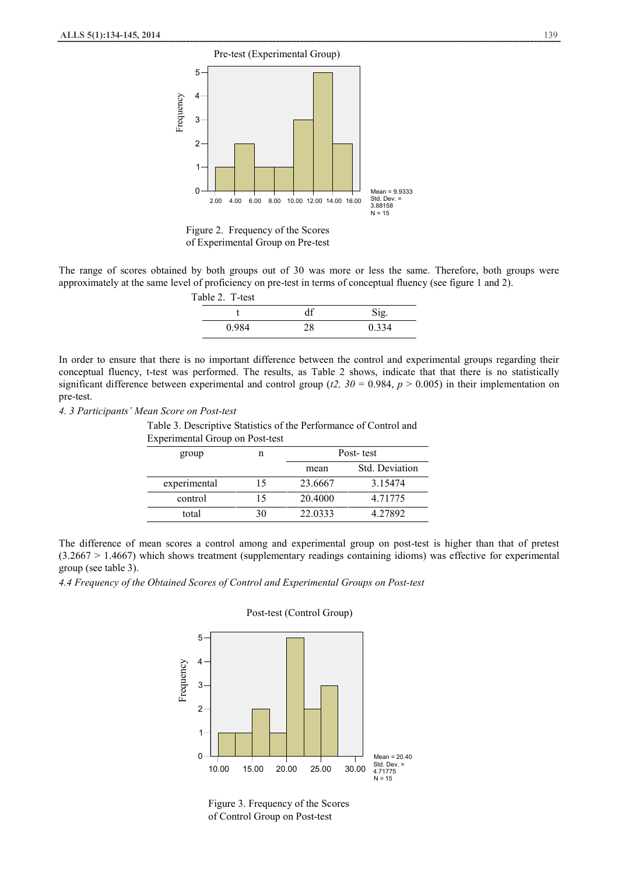

Figure 2. Frequency of the Scores of Experimental Group on Pre-test

The range of scores obtained by both groups out of 30 was more or less the same. Therefore, both groups were approximately at the same level of proficiency on pre-test in terms of conceptual fluency (see figure 1 and 2).

| Table 2. T-test |    |       |
|-----------------|----|-------|
|                 |    | Sig.  |
| 0.984           | 28 | 0.334 |

In order to ensure that there is no important difference between the control and experimental groups regarding their conceptual fluency, t-test was performed. The results, as Table 2 shows, indicate that that there is no statistically significant difference between experimental and control group ( $t2$ ,  $30 = 0.984$ ,  $p > 0.005$ ) in their implementation on pre-test.

*4. 3 Participants' Mean Score on Post-test*

Table 3. Descriptive Statistics of the Performance of Control and Experimental Group on Post-test

| group        | n  | Post-test |                       |
|--------------|----|-----------|-----------------------|
|              |    | mean      | <b>Std. Deviation</b> |
| experimental | 15 | 23.6667   | 3.15474               |
| control      | 15 | 20.4000   | 4.71775               |
| total        | 30 | 22.0333   | 4.27892               |

The difference of mean scores a control among and experimental group on post-test is higher than that of pretest (3.2667 > 1.4667) which shows treatment (supplementary readings containing idioms) was effective for experimental group (see table 3).

*4.4 Frequency of the Obtained Scores of Control and Experimental Groups on Post-test* 



#### Post-test (Control Group)

Figure 3. Frequency of the Scores of Control Group on Post-test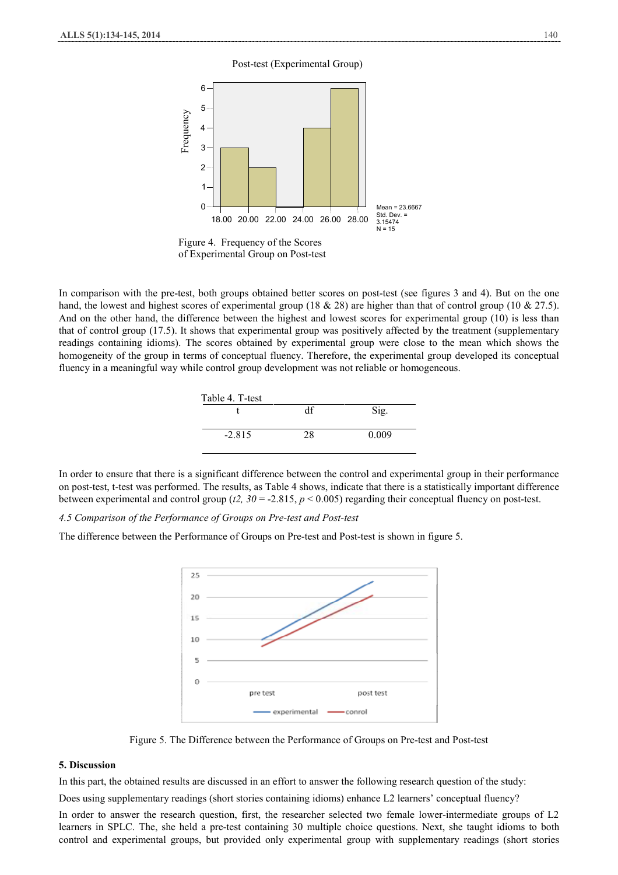#### Post-test (Experimental Group)



of Experimental Group on Post-test

In comparison with the pre-test, both groups obtained better scores on post-test (see figures 3 and 4). But on the one hand, the lowest and highest scores of experimental group (18 & 28) are higher than that of control group (10 & 27.5). And on the other hand, the difference between the highest and lowest scores for experimental group (10) is less than that of control group (17.5). It shows that experimental group was positively affected by the treatment (supplementary readings containing idioms). The scores obtained by experimental group were close to the mean which shows the homogeneity of the group in terms of conceptual fluency. Therefore, the experimental group developed its conceptual fluency in a meaningful way while control group development was not reliable or homogeneous.

| Table 4. T-test |    |       |
|-----------------|----|-------|
|                 | df | Sig.  |
| $-2.815$        | 28 | 0.009 |

In order to ensure that there is a significant difference between the control and experimental group in their performance on post-test, t-test was performed. The results, as Table 4 shows, indicate that there is a statistically important difference between experimental and control group (*t2, 30* = -2.815, *p* < 0.005) regarding their conceptual fluency on post-test.

*4.5 Comparison of the Performance of Groups on Pre-test and Post-test* 

The difference between the Performance of Groups on Pre-test and Post-test is shown in figure 5.



Figure 5. The Difference between the Performance of Groups on Pre-test and Post-test

### **5. Discussion**

In this part, the obtained results are discussed in an effort to answer the following research question of the study:

Does using supplementary readings (short stories containing idioms) enhance L2 learners' conceptual fluency?

In order to answer the research question, first, the researcher selected two female lower-intermediate groups of L2 learners in SPLC. The, she held a pre-test containing 30 multiple choice questions. Next, she taught idioms to both control and experimental groups, but provided only experimental group with supplementary readings (short stories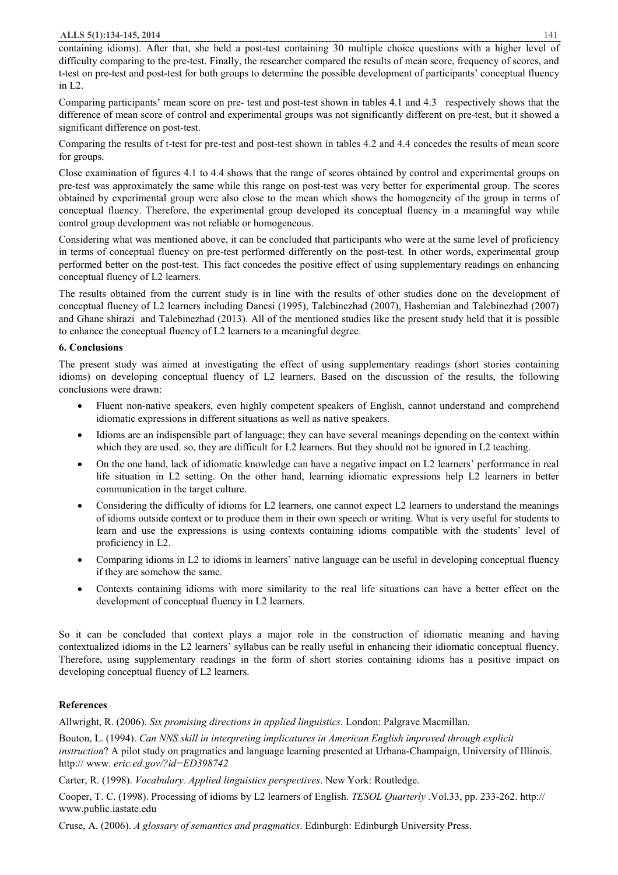containing idioms). After that, she held a post-test containing 30 multiple choice questions with a higher level of difficulty comparing to the pre-test. Finally, the researcher compared the results of mean score, frequency of scores, and t-test on pre-test and post-test for both groups to determine the possible development of participants' conceptual fluency in L2.

Comparing participants' mean score on pre- test and post-test shown in tables 4.1 and 4.3 respectively shows that the difference of mean score of control and experimental groups was not significantly different on pre-test, but it showed a significant difference on post-test.

Comparing the results of t-test for pre-test and post-test shown in tables 4.2 and 4.4 concedes the results of mean score for groups.

Close examination of figures 4.1 to 4.4 shows that the range of scores obtained by control and experimental groups on pre-test was approximately the same while this range on post-test was very better for experimental group. The scores obtained by experimental group were also close to the mean which shows the homogeneity of the group in terms of conceptual fluency. Therefore, the experimental group developed its conceptual fluency in a meaningful way while control group development was not reliable or homogeneous.

Considering what was mentioned above, it can be concluded that participants who were at the same level of proficiency in terms of conceptual fluency on pre-test performed differently on the post-test. In other words, experimental group performed better on the post-test. This fact concedes the positive effect of using supplementary readings on enhancing conceptual fluency of L2 learners.

The results obtained from the current study is in line with the results of other studies done on the development of conceptual fluency of L2 learners including Danesi (1995), Talebinezhad (2007), Hashemian and Talebinezhad (2007) and Ghane shirazi and Talebinezhad (2013). All of the mentioned studies like the present study held that it is possible to enhance the conceptual fluency of L2 learners to a meaningful degree.

# **6. Conclusions**

The present study was aimed at investigating the effect of using supplementary readings (short stories containing idioms) on developing conceptual fluency of L2 learners. Based on the discussion of the results, the following conclusions were drawn:

- Fluent non-native speakers, even highly competent speakers of English, cannot understand and comprehend idiomatic expressions in different situations as well as native speakers.
- · Idioms are an indispensible part of language; they can have several meanings depending on the context within which they are used. so, they are difficult for L2 learners. But they should not be ignored in L2 teaching.
- · On the one hand, lack of idiomatic knowledge can have a negative impact on L2 learners' performance in real life situation in L2 setting. On the other hand, learning idiomatic expressions help L2 learners in better communication in the target culture.
- Considering the difficulty of idioms for L2 learners, one cannot expect L2 learners to understand the meanings of idioms outside context or to produce them in their own speech or writing. What is very useful for students to learn and use the expressions is using contexts containing idioms compatible with the students' level of proficiency in L2.
- · Comparing idioms in L2 to idioms in learners' native language can be useful in developing conceptual fluency if they are somehow the same.
- · Contexts containing idioms with more similarity to the real life situations can have a better effect on the development of conceptual fluency in L2 learners.

So it can be concluded that context plays a major role in the construction of idiomatic meaning and having contextualized idioms in the L2 learners' syllabus can be really useful in enhancing their idiomatic conceptual fluency. Therefore, using supplementary readings in the form of short stories containing idioms has a positive impact on developing conceptual fluency of L2 learners.

# **References**

Allwright, R. (2006). *Six promising directions in applied linguistics*. London: Palgrave Macmillan.

Bouton, L. (1994). *Can NNS skill in interpreting implicatures in American English improved through explicit instruction*? A pilot study on pragmatics and language learning presented at Urbana-Champaign, University of Illinois. http:// www. *eric.ed.gov/?id=ED398742*

Carter, R. (1998). *Vocabulary. Applied linguistics perspectives*. New York: Routledge.

Cooper, T. C. (1998). Processing of idioms by L2 learners of English. *TESOL Quarterly .*Vol.33, pp. 233-262. http:// www.public.iastate.edu

Cruse, A. (2006). *A glossary of semantics and pragmatics*. Edinburgh: Edinburgh University Press.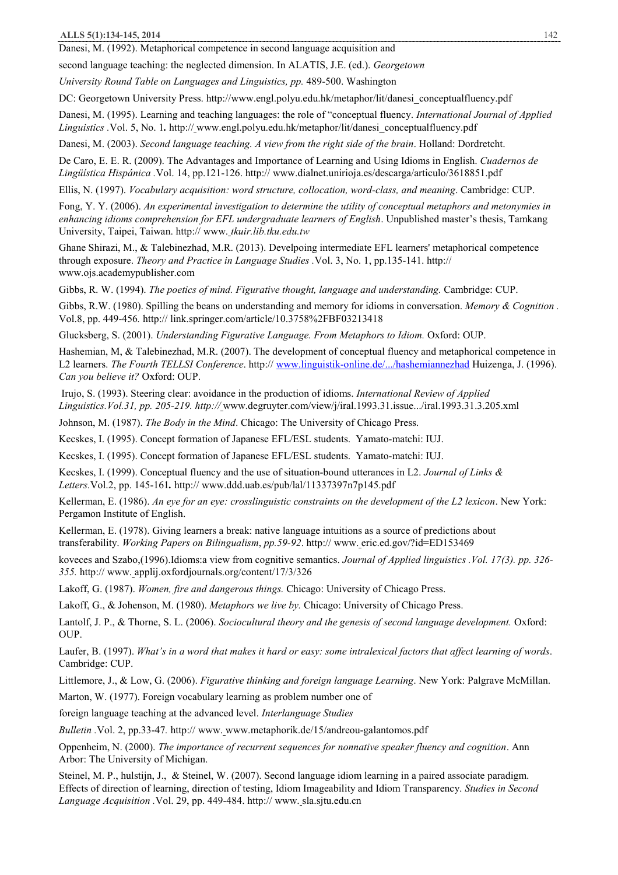Danesi, M. (1992). Metaphorical competence in second language acquisition and

second language teaching: the neglected dimension. In ALATIS, J.E. (ed.). *Georgetown* 

*University Round Table on Languages and Linguistics, pp.* 489-500. Washington

DC: Georgetown University Press. http://www.engl.polyu.edu.hk/metaphor/lit/danesi\_conceptualfluency.pdf

Danesi, M. (1995). Learning and teaching languages: the role of "conceptual fluency. *International Journal of Applied Linguistics .*Vol. 5, No. 1*.* http:// www.engl.polyu.edu.hk/metaphor/lit/danesi\_conceptualfluency.pdf

Danesi, M. (2003). *Second language teaching. A view from the right side of the brain*. Holland: Dordretcht.

De Caro, E. E. R. (2009). The Advantages and Importance of Learning and Using Idioms in English. *Cuadernos de Lingüística Hispánica .*Vol. 14, pp.121-126. http:// www.dialnet.unirioja.es/descarga/articulo/3618851.pdf

Ellis, N. (1997). *Vocabulary acquisition: word structure, collocation, word-class, and meaning*. Cambridge: CUP.

Fong, Y. Y. (2006). *An experimental investigation to determine the utility of conceptual metaphors and metonymies in enhancing idioms comprehension for EFL undergraduate learners of English*. Unpublished master's thesis, Tamkang University, Taipei, Taiwan. http:// www. *tkuir.lib.tku.edu.tw* 

Ghane Shirazi, M., & Talebinezhad, M.R. (2013). Develpoing intermediate EFL learners' metaphorical competence through exposure. *Theory and Practice in Language Studies .*Vol. 3, No. 1, pp.135-141. http:// www.ojs.academypublisher.com

Gibbs, R. W. (1994). *The poetics of mind. Figurative thought, language and understanding.* Cambridge: CUP.

Gibbs, R.W. (1980). Spilling the beans on understanding and memory for idioms in conversation. *Memory & Cognition .* Vol.8, pp. 449-456*.* http:// link.springer.com/article/10.3758%2FBF03213418

Glucksberg, S. (2001). *Understanding Figurative Language. From Metaphors to Idiom.* Oxford: OUP.

Hashemian, M, & Talebinezhad, M.R. (2007). The development of conceptual fluency and metaphorical competence in L2 learners. *The Fourth TELLSI Conference*. http:// www.linguistik-online.de/.../hashemiannezhad Huizenga, J. (1996). *Can you believe it?* Oxford: OUP.

 Irujo, S. (1993). Steering clear: avoidance in the production of idioms. *International Review of Applied Linguistics.Vol.31, pp. 205-219. http://* www.degruyter.com/view/j/iral.1993.31.issue.../iral.1993.31.3.205.xml

Johnson, M. (1987). *The Body in the Mind*. Chicago: The University of Chicago Press.

Kecskes, I. (1995). Concept formation of Japanese EFL/ESL students. Yamato-matchi: IUJ.

Kecskes, I. (1995). Concept formation of Japanese EFL/ESL students. Yamato-matchi: IUJ.

Kecskes, I. (1999). Conceptual fluency and the use of situation-bound utterances in L2. *Journal of Links & Letters.*Vol.2, pp. 145-161*.* http:// www.ddd.uab.es/pub/lal/11337397n7p145.pdf

Kellerman, E. (1986). *An eye for an eye: crosslinguistic constraints on the development of the L2 lexicon*. New York: Pergamon Institute of English.

Kellerman, E. (1978). Giving learners a break: native language intuitions as a source of predictions about transferability. *Working Papers on Bilingualism*, *pp.59-92*. http:// www. eric.ed.gov/?id=ED153469

koveces and Szabo,(1996).Idioms:a view from cognitive semantics. *Journal of Applied linguistics .Vol. 17(3). pp. 326- 355.* http:// www. applij.oxfordjournals.org/content/17/3/326

Lakoff, G. (1987). *Women, fire and dangerous things.* Chicago: University of Chicago Press.

Lakoff, G., & Johenson, M. (1980). *Metaphors we live by.* Chicago: University of Chicago Press.

Lantolf, J. P., & Thorne, S. L. (2006). *Sociocultural theory and the genesis of second language development.* Oxford: OUP.

Laufer, B. (1997). What's in a word that makes it hard or easy: some intralexical factors that affect learning of words. Cambridge: CUP.

Littlemore, J., & Low, G. (2006). *Figurative thinking and foreign language Learning*. New York: Palgrave McMillan.

Marton, W. (1977). Foreign vocabulary learning as problem number one of

foreign language teaching at the advanced level. *Interlanguage Studies* 

*Bulletin .*Vol. 2, pp.33-47*.* http:// www. www.metaphorik.de/15/andreou-galantomos.pdf

Oppenheim, N. (2000). *The importance of recurrent sequences for nonnative speaker fluency and cognition*. Ann Arbor: The University of Michigan.

Steinel, M. P., hulstijn, J., & Steinel, W. (2007). Second language idiom learning in a paired associate paradigm. Effects of direction of learning, direction of testing, Idiom Imageability and Idiom Transparency. *Studies in Second Language Acquisition .*Vol. 29, pp. 449-484. http:// www. sla.sjtu.edu.cn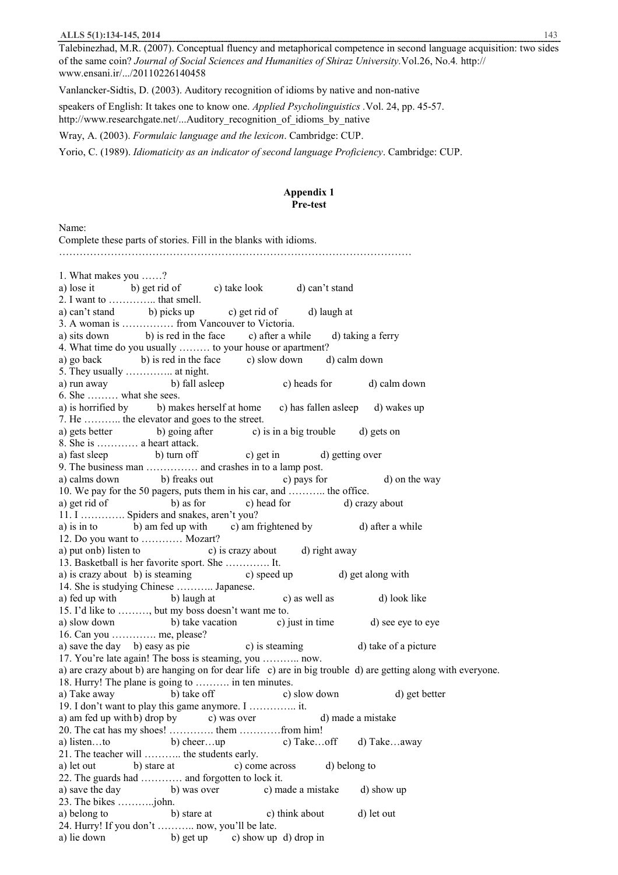Talebinezhad, M.R. (2007). Conceptual fluency and metaphorical competence in second language acquisition: two sides of the same coin? *Journal of Social Sciences and Humanities of Shiraz University.*Vol.26, No.4*.* http:// www.ensani.ir/.../20110226140458

Vanlancker-Sidtis, D. (2003). Auditory recognition of idioms by native and non-native

speakers of English: It takes one to know one. *Applied Psycholinguistics .*Vol. 24, pp. 45-57. http://www.researchgate.net/...Auditory recognition of idioms by native

Wray, A. (2003). *Formulaic language and the lexicon*. Cambridge: CUP.

Yorio, C. (1989). *Idiomaticity as an indicator of second language Proficiency*. Cambridge: CUP.

## **Appendix 1 Pre-test**

Name:

Complete these parts of stories. Fill in the blanks with idioms. ………………………………………………………………………………………… 1. What makes you ……? a) lose it b) get rid of c) take look d) can't stand 2. I want to ………….. that smell. a) can't stand b) picks up c) get rid of d) laugh at 3. A woman is …………… from Vancouver to Victoria. a) sits down b) is red in the face c) after a while d) taking a ferry 4. What time do you usually ……… to your house or apartment? a) go back b) is red in the face c) slow down d) calm down 5. They usually ………….. at night. a) run away b) fall asleep c) heads for d) calm down 6. She ……… what she sees. a) is horrified by b) makes herself at home c) has fallen asleep d) wakes up 7. He ……….. the elevator and goes to the street. a) gets better b) going after c) is in a big trouble d) gets on 8. She is ………… a heart attack. a) fast sleep b) turn off c) get in d) getting over 9. The business man ................ and crashes in to a lamp post.<br>a) calms down b) freaks out c) pays for a) calms down b) freaks out c) pays for d) on the way 10. We pay for the 50 pagers, puts them in his car, and ……….. the office. a) get rid of b) as for c) head for d) crazy about 11. I …………. Spiders and snakes, aren't you? a) is in to b) am fed up with c) am frightened by d) after a while 12. Do you want to ………… Mozart? a) put onb) listen to c) is crazy about d) right away 13. Basketball is her favorite sport. She …………. It. a) is crazy about b) is steaming c) speed up d) get along with 14. She is studying Chinese ……….. Japanese. a) fed up with b) laugh at c) as well as d) look like 15. I'd like to ………, but my boss doesn't want me to. a) slow down b) take vacation c) just in time d) see eye to eye 16. Can you …………. me, please? a) save the day b) easy as pie c) is steaming d) take of a picture 17. You're late again! The boss is steaming, you ……….. now. a) are crazy about b) are hanging on for dear life c) are in big trouble d) are getting along with everyone. 18. Hurry! The plane is going to ………. in ten minutes. a) Take away b) take off c) slow down d) get better 19. I don't want to play this game anymore. I ………….. it. a) am fed up with b) drop by c) was over d) made a mistake 20. The cat has my shoes! …………. them …………from him! a) listen…to b) cheer…up c) Take…off d) Take…away 21. The teacher will ……….. the students early. a) let out b) stare at c) come across d) belong to 22. The guards had ………… and forgotten to lock it. a) save the day b) was over c) made a mistake d) show up 23. The bikes ………..john. a) belong to b) stare at c) think about d) let out 24. Hurry! If you don't ……….. now, you'll be late. a) lie down b) get up c) show up d) drop in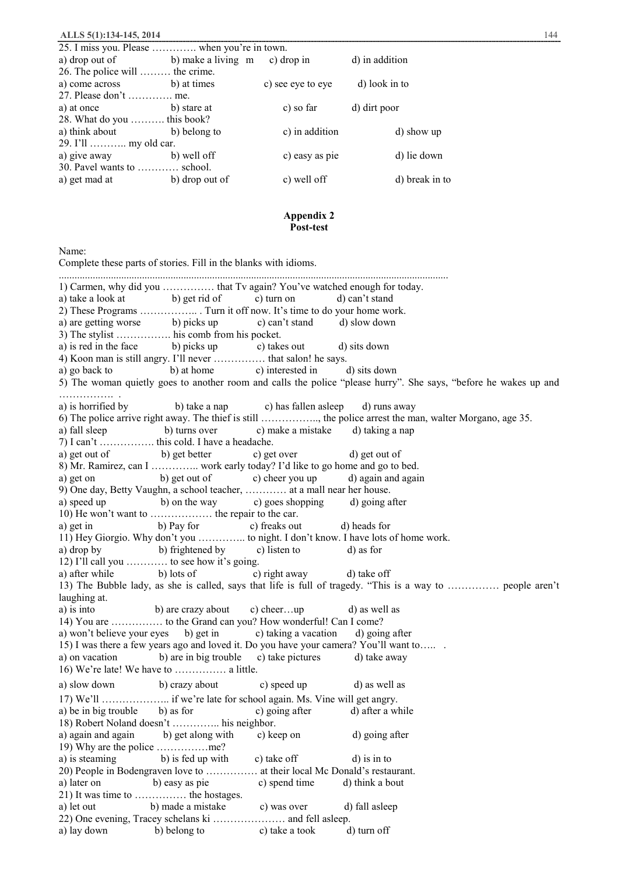| 25. I miss you. Please  when you're in town. |                |                   |                |  |
|----------------------------------------------|----------------|-------------------|----------------|--|
| a) drop out of<br>b) make a living m         |                | c) drop in        | d) in addition |  |
| 26. The police will  the crime.              |                |                   |                |  |
| a) come across                               | b) at times    | c) see eye to eye | d) look in to  |  |
| 27. Please don't  me.                        |                |                   |                |  |
| a) at once                                   | b) stare at    | c) so far         | d) dirt poor   |  |
| 28. What do you  this book?                  |                |                   |                |  |
| a) think about                               | b) belong to   | c) in addition    | d) show up     |  |
| 29. I'll  my old car.                        |                |                   |                |  |
| a) give away                                 | b) well off    | c) easy as pie    | d) lie down    |  |
| 30. Pavel wants to  school.                  |                |                   |                |  |
| a) get mad at                                | b) drop out of | c) well off       | d) break in to |  |

## **Appendix 2 Post-test**

Name:

Complete these parts of stories. Fill in the blanks with idioms. ...................................................................................................................................................... 1) Carmen, why did you …………… that Tv again? You've watched enough for today. a) take a look at b) get rid of c) turn on d) can't stand 2) These Programs …………….. . Turn it off now. It's time to do your home work. a) are getting worse b) picks up c) can't stand d) slow down 3) The stylist ……………. his comb from his pocket. a) is red in the face b) picks up c) takes out d) sits down 4) Koon man is still angry. I'll never …………… that salon! he says. a) go back to b) at home c) interested in d) sits down 5) The woman quietly goes to another room and calls the police "please hurry". She says, "before he wakes up and ……………. . a) is horrified by b) take a nap c) has fallen asleep d) runs away 6) The police arrive right away. The thief is still …………….., the police arrest the man, walter Morgano, age 35. a) fall sleep b) turns over c) make a mistake d) taking a nap 7) I can't ……………. this cold. I have a headache. a) get out of b) get better c) get over d) get out of 8) Mr. Ramirez, can I ………….. work early today? I'd like to go home and go to bed. a) get on b) get out of c) cheer you up d) again and again 9) One day, Betty Vaughn, a school teacher, ………… at a mall near her house. a) speed up b) on the way c) goes shopping d) going after 10) He won't want to ……………… the repair to the car. a) get in b) Pay for c) freaks out d) heads for 11) Hey Giorgio. Why don't you ………….. to night. I don't know. I have lots of home work. a) drop by b) frightened by c) listen to d) as for 12) I'll call you ………… to see how it's going. a) after while b) lots of c) right away d) take off 13) The Bubble lady, as she is called, says that life is full of tragedy. "This is a way to …………… people aren't laughing at. a) is into b) are crazy about c) cheer…up d) as well as 14) You are …………… to the Grand can you? How wonderful! Can I come? a) won't believe your eyes b) get in c) taking a vacation d) going after 15) I was there a few years ago and loved it. Do you have your camera? You'll want to….. . a) on vacation b) are in big trouble c) take pictures d) take away 16) We're late! We have to …………… a little. a) slow down b) crazy about c) speed up d) as well as 17) We'll ……………….. if we're late for school again. Ms. Vine will get angry. a) be in big trouble b) as for c) going after d) after a while 18) Robert Noland doesn't ………….. his neighbor. a) again and again b) get along with c) keep on d) going after 19) Why are the police ……………me? a) is steaming b) is fed up with c) take off d) is in to 20) People in Bodengraven love to …………… at their local Mc Donald's restaurant. a) later on b) easy as pie c) spend time d) think a bout 21) It was time to …………… the hostages. a) let out b) made a mistake c) was over d) fall asleep 22) One evening, Tracey schelans ki ………………… and fell asleep. a) lay down b) belong to c) take a took d) turn off